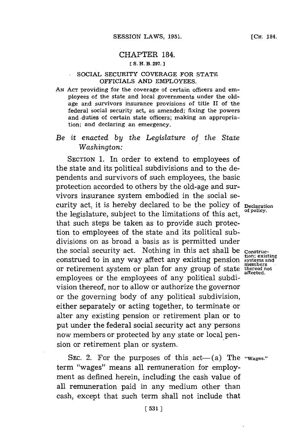# CHAPTER 184. **[ S. H. B. 297.**

### SOCIAL SECURITY COVERAGE FOR **STATE** OFFICIALS **AND** EMPLOYEES.

**AN ACT** providing for the coverage of certain officers and employees of the state and local governments under the oldage and survivors insurance provisions of title II of the federal social security act, as amended; fixing the powers and. duties of certain state officers; making an appropriation; and declaring an emergency.

# *Be it enacted by the Legislature of the State Washington:*

SECTION **1.** In order to extend to employees of the state and its political subdivisions and to the dependents and survivors of such employees, the basic protection accorded to others **by** the old-age and survivors insurance system embodied in the social security act, it is hereby declared to be the policy of Declaration the legislature, subject to the limitations of this act, that such steps be taken as to provide such protection to employees of the state and its political subdivisions on as broad a basis as is permitted under the social security act. Nothing in this act shall be **construction; existing** construed to in any way affect any existing pension **systems and** or retirement system or plan for any group of state thereof no employees or the employees of any political subdivision thereof, nor to allow or authorize the governor or the governing body of any political subdivision, either separately or acting together, to terminate or alter any existing pension or retirement plan or to put under the federal social security act any persons now members or protected **by** any state or local pension or retirement plan or system.

SEC. 2. For the purposes of this act—(a) The "Wages." term "wages" means all remuneration for employment as defined herein, including the cash value of all remuneration paid in any medium other than cash, except that such term shall not include that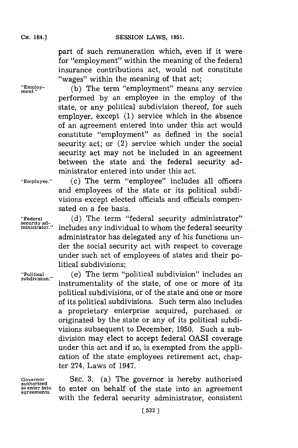SESSION LAWS, 1951.

part of such remuneration which, even if it were for "employment" within the meaning of the federal insurance contributions act, would not constitute "wages" within the meaning of that act;

"Employ- (b) The term "employment" means any service performed **by** an employee in the employ of the state, or any political subdivision thereof, for such employer, except **(1)** service which in the absence of an agreement entered into under this act would constitute "employment" as defined in the social security act; or (2) service which under the social security act may not be included in an agreement between the state and the federal security administrator entered into under this act.

**"Employee." (c)** The term "employee" includes all officers and employees of the state or its political subdivisions except elected officials and officials compensated on a fee basis.

**"Federal (d)** The term "federal security administrator" includes any individual to whom the federal security administrator has delegated any of his functions under the social security act with respect to coverage under such act of employees of states and their political subdivisions;

**"Political** (e) The term "political subdivision" includes an instrumentality of the state, of one or more of its political subdivisions, or of the state and one or more of its political subdivisions. Such term also includes a proprietary enterprise acquired, purchased or originated **by** the state or any of its political subdivisions subsequent to December, **1950.** Such a subdivision may elect to accept federal QASI coverage under this act and if so, is exempted from the application of the state employees retirement act, chapter 274, Laws of 1947.

**authorized**

Governor SEC. 3. (a) The governor is hereby authorized **to enter into** to enter on behalf of the state into an agreement **agreements.** with the federal security administrator, consistent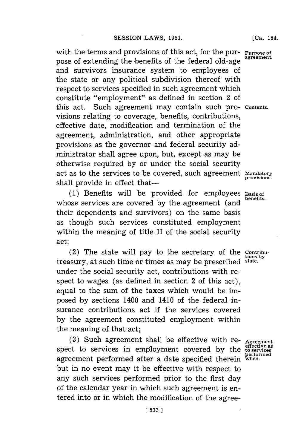with the terms and provisions of this act, for the pur- **Purpose of** agreement. pose of extending the benefits of the federal old-age and survivors insurance system to employees of the state or any political subdivision thereof with respect to services specified in such agreement which constitute "employment" as defined in section 2 of this act. Such agreement may contain such pro- **Contents.** visions relating to coverage, benefits, contributions, effective date, modification and termination of the agreement, administration, and other appropriate provisions as the governor and federal security administrator shall agree upon, but, except as may be otherwise required **by** or under the social security act as to the services to be covered, such agreement **Mandatory** shall provide in effect that-

**(1)** Benefits will be provided for employees **Basis of** whose services are covered by the agreement (and their dependents and survivors) on the same basis as though such services constituted employment within the meaning of title II of the social security act;

(2) The state will pay to the secretary of the **Contribu**treasury, at such time or times as may be prescribed **state.** under the social security act, contributions with respect to wages (as defined in section 2 of this act), equal to the sum of the taxes which would be imposed **\*by** sections 1400 and 1410 of the federal insurance contributions act if the services covered **by** the agreement constituted employment within the meaning of that act;

**(3)** Such agreement shall be effective with re- **Agreement effective as** spect to services in employment covered **by** the **to services performed** agreement performed after a date specified therein **when.** but in no event may it be effective with respect to any such services performed prior to the first day of the calendar year in which such agreement is entered into or in which the modification of the agree-

**[CH.** 184.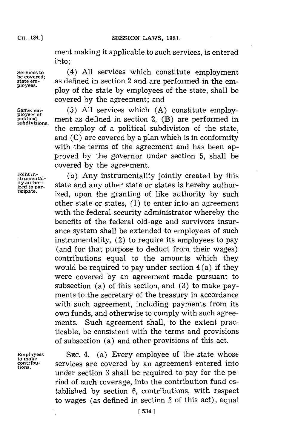### **SESSION LAWS, 1951.**

ment making it applicable to such services, is entered into;

ployes. ploy of the state **by** employees of the state, shall be

covered **by** the agreement; and

Services to  $(4)$  All services which constitute employment be covered;<br>
state em-<br>
as defined in section 2 and are performed in the embe covered;<br>state em-<br>ployees. as defined in section 2 and are performed in the em-

**ployees of**

**Same; em- (5) All** services which **(A)** constitute employpolitical ment as defined in section 2,  $(B)$  are performed in subdivisions. the employ of a political subdivision of the state, and **(C)** are covered **by** a plan which is in conformity with the terms of the agreement and has been approved **by** the governor under section **5,** shall be covered **by** the agreement.

**stumntal- (b)** Any instrumentality jointly created **by** this **ity author-** state and any other state or states is hereby author-<br> **ized to par-** ized was the graphing of like outhority hy such ized, upon the granting of like authority by such other state or states, **(1)** to enter into an agreement with the federal security administrator whereby the benefits of the federal old-age and survivors insurance system shall be extended to employees of such instrumentality, (2) to require its employees to pay (and for that purpose to deduct from their wages) contributions equal to the amounts which they would be required to pay under section  $4(a)$  if they were covered **by** an agreement made pursuant to subsection (a) of this section, and **(3)** to make payments to the secretary of the treasury in accordance with such agreement, including payments from its own funds, and otherwise to comply with such agreements. Such agreement shall, to the extent practicable, be consistent with the terms and provisions of subsection (a) and other provisions of this act.

**to make tions.**

**Employees SEC.** 4. (a) Every employee of the state whose **contribu-** services are covered **by** an agreement entered into under section **3** shall be required to pay for the period of such coverage, into the contribution fund established **by** section **6,** contributions, with respect to wages (as defined in section 2 of this act), equal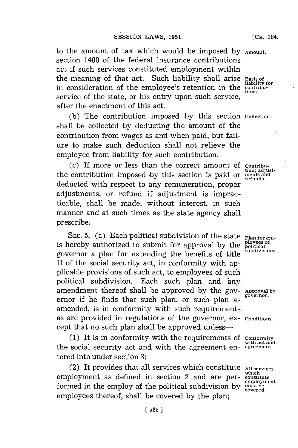to the amount of tax which would be imposed **by Amount.** section 1400 of the federal insurance contributions act if such services constituted employment within the meaning of that act. Such liability shall arise **Basis of** in consideration of the employee's retention in the contribuservice of the state, or his entry upon such service, after the enactment of this act.

**(b)** The contribution imposed **by** this section **Collection.** shall be collected **'by** deducting the amount of the contribution from wages as and when paid, but failure to make such deduction shall not relieve the employee from liability for such contribution.

(c) If more or less than the correct amount of **Contribu**the contribution imposed by this section is paid or ments and deducted with respect to any remuneration, proper adjustments, or refund if adjustment is impracticable, shall be made, without interest, in such manner and at such times as the state agency shall prescribe.

SEC. 5. (a) Each political subdivision of the state **Plan for em**is hereby authorized to submit for approval by the Political subdivisions. governor a plan for extending the benefits of title II of the social security act, in conformity with applicable provisions of such act, to employees of such political subdivision. Each such plan and any amendment thereof shall be approved **by** the **gov- Approval by** ernor if he finds that such plan, or such plan as amended, is in conformity with such requirements as are provided in regulations of the governor, ex- **Conditions.** cept that no such plan shall be approved unless—

**(1)** It is in conformity with the requirements of **Conformity** the social security act and with the agreement en- **agreement.** tered into under section **3;**

(2) It provides that all services which constitute **All services which** employment as defined in section 2 and are per- **constitute** formed in the employ of the political subdivision by **must be** employees thereof, shall be covered **by** the plan;

**[CH.** 184.

**with act and**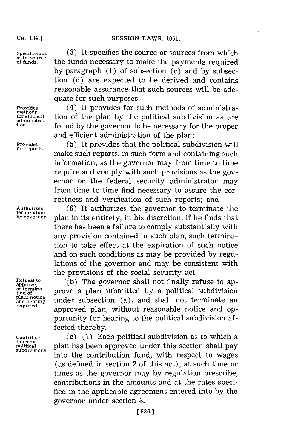### CH. **84.]SESSION** LAWS, **1951.**

**CH.** 184.]

**administra-**

**termination**

**or termina-**

Specification (3) It specifies the source or sources from which as to source<br>of funds. <br>**the funds necessary to make the payments required by** paragraph **(1)** of subsection (c) and **by** subsection **(d)** are expected to \*be derived and contains reasonable assurance that such sources will be adequate for such purposes;

Provides (4) It provides for such methods of administra-<br>
<u>methods</u><br> *for* efficient tion of the plan by the political subdivision as are **for efficient** tion of the plan **by** the political subdivision as are **tion,** found **by** the governor to be necessary **for** the proper and efficient administration of the plan;

Provides (5) It provides that the political subdivision will **for reports,** make such reports, in such form and containing such information, as the governor may from time to time require and comply with such provisions as the governor or the federal security administrator may from time to time find necessary to assure the correctness and verification of such reports; and

**Authorizes (6)** It authorizes the governor to terminate the **by governor,** plan in its entirety, in his discretion, if he finds that there has been a failure to comply substantially with any provision contained in such plan, such termination to take effect at the expiration of such notice and on such conditions as may be provided **by** regulations of the governor and may be consistent with the provisions of the social security act.

**Refusal to \*(b)** The governor shall not finally refuse to ap- **approve,** of termina-<br>tion of **the angle is a political subdivision**<br>plan; notice under subsection (a) and shall not terminate an **plan; notice**<br>and hearing under subsection (a), and shall not terminate an<br>required. approved plan, without reasonable notice and opportunity for hearing to the political subdivision affected thereby.

**Contribu-** (c) **(1)** Each political subdivision as to which a **that by political**<br>subdivisions. plan has been approved under this section shall pay into the contribution fund, with respect to wages (as defined in section 2 of this act), at such time or times as the governor may **by** regulation prescribe, contributions in the amounts and at the rates specified in the applicable agreement entered into **by** the governor under section **3.**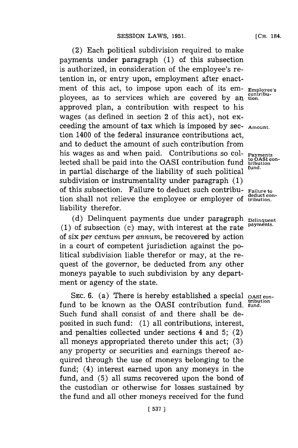(2) Each political subdivision required to make payments under paragraph **(1)** of this subsection is authorized, in consideration of the employee's retention in, or entry upon, employment after enactment of this act, to impose upon each of its em- **Employee's contribu-** ployees, as to services which are covered **by** an **tion.** approved plan, a contribution with respect to his wages (as defined in section 2 of this act), not exceeding the amount of tax which is imposed **by** sec- **Amount.** tion 1400 of the federal insurance contributions act, and to deduct the amount of such contribution from his wages as and when paid. Contributions so col- **Payments** lected shall be paid into the OASI contribution fund **tribution** in partial discharge of the liability of such political subdivision or instrumentality under paragraph **(1)** of this subsection. Failure to deduct such contribu- **Failure to** tion shall not relieve the employee or employer of tribution. liability therefor.

(d) Delinquent payments due under paragraph <sub>Delinquent</sub> **(1)** of subsection (c) may, with interest at the rate **payments.** of six *per centum per annum,* be recovered **by** action in a court of competent jurisdiction against the political subdivision liable therefor or may, at the request of the governor, be deducted from any other moneys payable to such subdivision **by** any department or agency of the state.

SEC. 6. (a) There is hereby established a special oast confund to be known as the OASI contribution fund. **fund.** Such fund shall consist of and there shall be deposited in such fund: **(1)** all contributions, interest, and penalties collected under sections 4 and **5;** (2) all moneys appropriated thereto under this act; **(3)** any property or securities and earnings thereof acquired through the use of moneys 'belonging to the fund; (4) interest earned upon any moneys in the fund, and **(5)** all sums recovered upon the bond of the custodian or otherwise for losses sustained **by** the fund and all other moneys received **for** the fund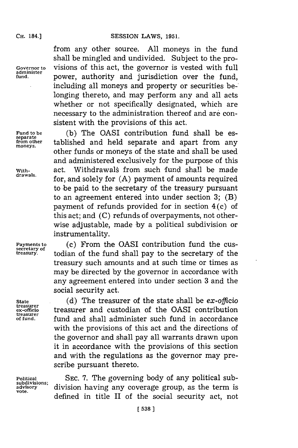**administer**

from any other source. **All** moneys in the fund shall be mingled and undivided. Subject to the pro-**Governor to** visions of this act, the governor is vested with full **fund,** power, authority and jurisdiction over the fund, including all moneys and property or securities be-' longing thereto, and may perform any and all acts whether or not specifically designated, which are necessary to the administration thereof and are consistent with the provisions of this act.

Fund to be (b) The OASI contribution fund shall be esfrom other tablished and held separate and apart from any other funds or moneys of the state and shall be used and administered exclusively for the purpose of this with- act. Withdrawals from such fund shall be made for, and solely for (A) payment of amounts required to be paid to the secretary of the treasury pursuant to an agreement entered into under section **3;** (B) payment of refunds provided **for** in section 4 (c) of this act; and **(C)** refunds of overpayments, not otherwise adjustable, made **'by** a political subdivision or instrumentality.

**Payments to (c)** From the OASI contribution fund the custodian of the fund shall pay to the secretary of the treasury such amounts and at such time or times as may be directed **by** the governor in accordance with any agreement entered into under section **3** and the social security act.

**State (d)** The treasurer of the state shall be *ex-officio* **treasurer ex-officlo** treasurer and custodian of the QASI contribution fund and shall administer such fund in accordance with the provisions of this act and the directions of the governor and shall pay all warrants drawn upon it in accordance with the provisions of this section and with the regulations as the governor may prescribe pursuant thereto.

**Political SEC. 7.** The governing body of any political subadvisory division having any coverage group, as the term is defined in title II of the social security act, not

separate<br>from other

**secretary of**

**treasurer**

**vote.**